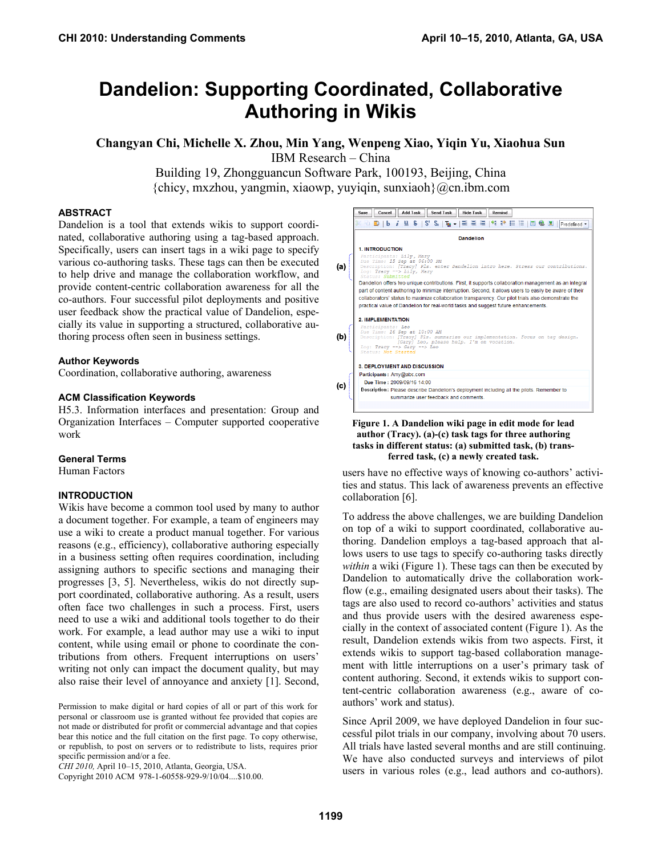# **Dandelion: Supporting Coordinated, Collaborative Authoring in Wikis**

**Changyan Chi, Michelle X. Zhou, Min Yang, Wenpeng Xiao, Yiqin Yu, Xiaohua Sun**  IBM Research – China

> Building 19, Zhongguancun Software Park, 100193, Beijing, China {chicy, mxzhou, yangmin, xiaowp, yuyiqin, sunxiaoh}@cn.ibm.com

# **ABSTRACT**

Dandelion is a tool that extends wikis to support coordinated, collaborative authoring using a tag-based approach. Specifically, users can insert tags in a wiki page to specify various co-authoring tasks. These tags can then be executed to help drive and manage the collaboration workflow, and provide content-centric collaboration awareness for all the co-authors. Four successful pilot deployments and positive user feedback show the practical value of Dandelion, especially its value in supporting a structured, collaborative authoring process often seen in business settings.

# **Author Keywords**

Coordination, collaborative authoring, awareness

## **ACM Classification Keywords**

H5.3. Information interfaces and presentation: Group and Organization Interfaces – Computer supported cooperative work

## **General Terms**

Human Factors

## **INTRODUCTION**

Wikis have become a common tool used by many to author a document together. For example, a team of engineers may use a wiki to create a product manual together. For various reasons (e.g., efficiency), collaborative authoring especially in a business setting often requires coordination, including assigning authors to specific sections and managing their progresses [3, 5]. Nevertheless, wikis do not directly support coordinated, collaborative authoring. As a result, users often face two challenges in such a process. First, users need to use a wiki and additional tools together to do their work. For example, a lead author may use a wiki to input content, while using email or phone to coordinate the contributions from others. Frequent interruptions on users' writing not only can impact the document quality, but may also raise their level of annoyance and anxiety [1]. Second,

Copyright 2010 ACM 978-1-60558-929-9/10/04....\$10.00.



### **Figure 1. A Dandelion wiki page in edit mode for lead author (Tracy). (a)-(c) task tags for three authoring tasks in different status: (a) submitted task, (b) transferred task, (c) a newly created task.**

users have no effective ways of knowing co-authors' activities and status. This lack of awareness prevents an effective collaboration [6].

To address the above challenges, we are building Dandelion on top of a wiki to support coordinated, collaborative authoring. Dandelion employs a tag-based approach that allows users to use tags to specify co-authoring tasks directly *within* a wiki (Figure 1). These tags can then be executed by Dandelion to automatically drive the collaboration workflow (e.g., emailing designated users about their tasks). The tags are also used to record co-authors' activities and status and thus provide users with the desired awareness especially in the context of associated content (Figure 1). As the result, Dandelion extends wikis from two aspects. First, it extends wikis to support tag-based collaboration management with little interruptions on a user's primary task of content authoring. Second, it extends wikis to support content-centric collaboration awareness (e.g., aware of coauthors' work and status).

Since April 2009, we have deployed Dandelion in four successful pilot trials in our company, involving about 70 users. All trials have lasted several months and are still continuing. We have also conducted surveys and interviews of pilot users in various roles (e.g., lead authors and co-authors).

Permission to make digital or hard copies of all or part of this work for personal or classroom use is granted without fee provided that copies are not made or distributed for profit or commercial advantage and that copies bear this notice and the full citation on the first page. To copy otherwise, or republish, to post on servers or to redistribute to lists, requires prior specific permission and/or a fee.

*CHI 2010,* April 10–15, 2010, Atlanta, Georgia, USA.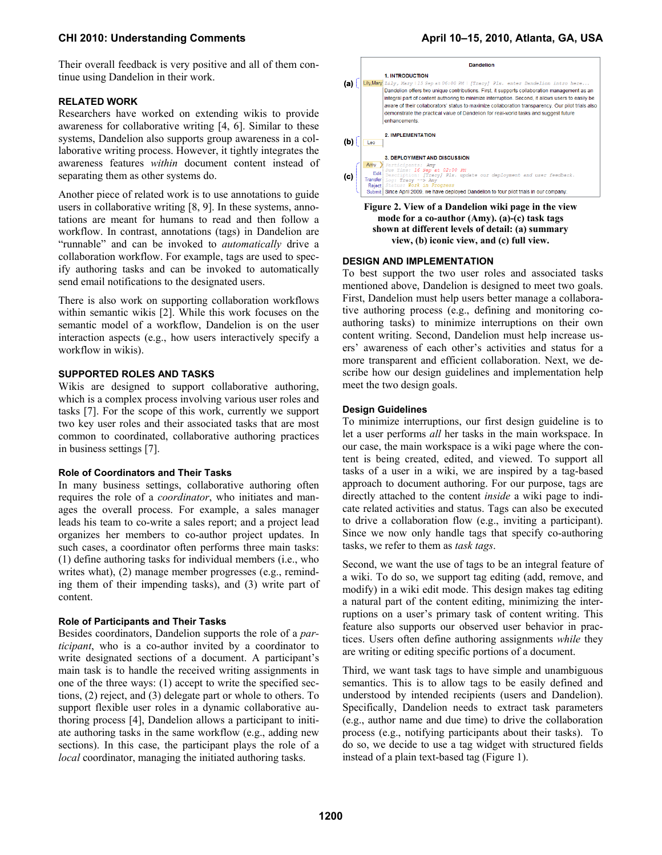Their overall feedback is very positive and all of them continue using Dandelion in their work.

### **RELATED WORK**

Researchers have worked on extending wikis to provide awareness for collaborative writing [4, 6]. Similar to these systems, Dandelion also supports group awareness in a collaborative writing process. However, it tightly integrates the awareness features *within* document content instead of separating them as other systems do.

Another piece of related work is to use annotations to guide users in collaborative writing [8, 9]. In these systems, annotations are meant for humans to read and then follow a workflow. In contrast, annotations (tags) in Dandelion are "runnable" and can be invoked to *automatically* drive a collaboration workflow. For example, tags are used to specify authoring tasks and can be invoked to automatically send email notifications to the designated users.

There is also work on supporting collaboration workflows within semantic wikis [2]. While this work focuses on the semantic model of a workflow, Dandelion is on the user interaction aspects (e.g., how users interactively specify a workflow in wikis).

## **SUPPORTED ROLES AND TASKS**

Wikis are designed to support collaborative authoring, which is a complex process involving various user roles and tasks [7]. For the scope of this work, currently we support two key user roles and their associated tasks that are most common to coordinated, collaborative authoring practices in business settings [7].

#### **Role of Coordinators and Their Tasks**

In many business settings, collaborative authoring often requires the role of a *coordinator*, who initiates and manages the overall process. For example, a sales manager leads his team to co-write a sales report; and a project lead organizes her members to co-author project updates. In such cases, a coordinator often performs three main tasks: (1) define authoring tasks for individual members (i.e., who writes what), (2) manage member progresses (e.g., reminding them of their impending tasks), and (3) write part of content.

## **Role of Participants and Their Tasks**

Besides coordinators, Dandelion supports the role of a *participant*, who is a co-author invited by a coordinator to write designated sections of a document. A participant's main task is to handle the received writing assignments in one of the three ways: (1) accept to write the specified sections, (2) reject, and (3) delegate part or whole to others. To support flexible user roles in a dynamic collaborative authoring process [4], Dandelion allows a participant to initiate authoring tasks in the same workflow (e.g., adding new sections). In this case, the participant plays the role of a *local* coordinator, managing the initiated authoring tasks.



**Figure 2. View of a Dandelion wiki page in the view mode for a co-author (Amy). (a)-(c) task tags shown at different levels of detail: (a) summary view, (b) iconic view, and (c) full view.**

# **DESIGN AND IMPLEMENTATION**

To best support the two user roles and associated tasks mentioned above, Dandelion is designed to meet two goals. First, Dandelion must help users better manage a collaborative authoring process (e.g., defining and monitoring coauthoring tasks) to minimize interruptions on their own content writing. Second, Dandelion must help increase users' awareness of each other's activities and status for a more transparent and efficient collaboration. Next, we describe how our design guidelines and implementation help meet the two design goals.

## **Design Guidelines**

To minimize interruptions, our first design guideline is to let a user performs *all* her tasks in the main workspace. In our case, the main workspace is a wiki page where the content is being created, edited, and viewed. To support all tasks of a user in a wiki, we are inspired by a tag-based approach to document authoring. For our purpose, tags are directly attached to the content *inside* a wiki page to indicate related activities and status. Tags can also be executed to drive a collaboration flow (e.g., inviting a participant). Since we now only handle tags that specify co-authoring tasks, we refer to them as *task tags*.

Second, we want the use of tags to be an integral feature of a wiki. To do so, we support tag editing (add, remove, and modify) in a wiki edit mode. This design makes tag editing a natural part of the content editing, minimizing the interruptions on a user's primary task of content writing. This feature also supports our observed user behavior in practices. Users often define authoring assignments *while* they are writing or editing specific portions of a document.

Third, we want task tags to have simple and unambiguous semantics. This is to allow tags to be easily defined and understood by intended recipients (users and Dandelion). Specifically, Dandelion needs to extract task parameters (e.g., author name and due time) to drive the collaboration process (e.g., notifying participants about their tasks). To do so, we decide to use a tag widget with structured fields instead of a plain text-based tag (Figure 1).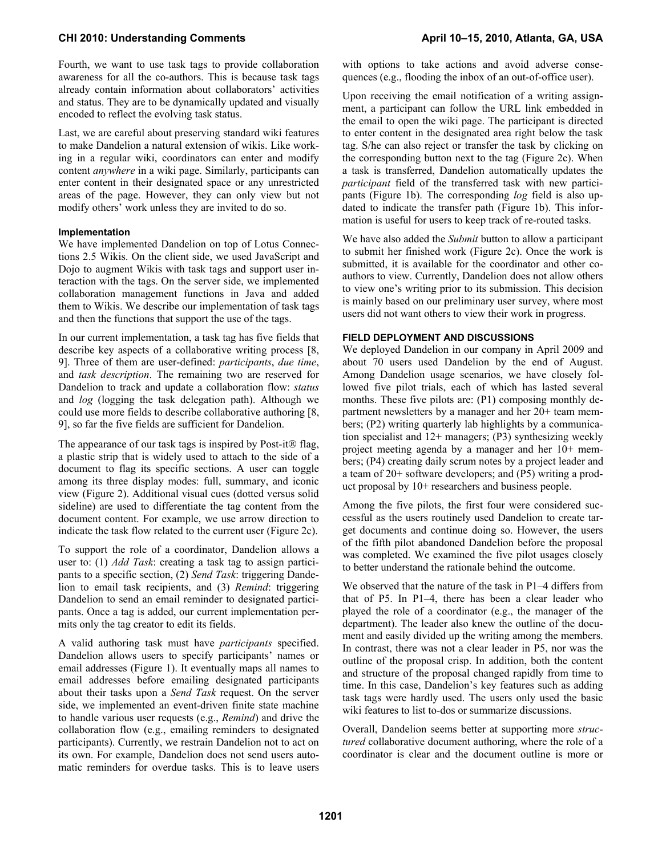# **CHI 2010: Understanding Comments April 10–15, 2010, Atlanta, GA, USA**

Fourth, we want to use task tags to provide collaboration awareness for all the co-authors. This is because task tags already contain information about collaborators' activities and status. They are to be dynamically updated and visually encoded to reflect the evolving task status.

Last, we are careful about preserving standard wiki features to make Dandelion a natural extension of wikis. Like working in a regular wiki, coordinators can enter and modify content *anywhere* in a wiki page. Similarly, participants can enter content in their designated space or any unrestricted areas of the page. However, they can only view but not modify others' work unless they are invited to do so.

# **Implementation**

We have implemented Dandelion on top of Lotus Connections 2.5 Wikis. On the client side, we used JavaScript and Dojo to augment Wikis with task tags and support user interaction with the tags. On the server side, we implemented collaboration management functions in Java and added them to Wikis. We describe our implementation of task tags and then the functions that support the use of the tags.

In our current implementation, a task tag has five fields that describe key aspects of a collaborative writing process [8, 9]. Three of them are user-defined: *participants*, *due time*, and *task description*. The remaining two are reserved for Dandelion to track and update a collaboration flow: *status* and *log* (logging the task delegation path). Although we could use more fields to describe collaborative authoring [8, 9], so far the five fields are sufficient for Dandelion.

The appearance of our task tags is inspired by Post-it<sup>®</sup> flag, a plastic strip that is widely used to attach to the side of a document to flag its specific sections. A user can toggle among its three display modes: full, summary, and iconic view (Figure 2). Additional visual cues (dotted versus solid sideline) are used to differentiate the tag content from the document content. For example, we use arrow direction to indicate the task flow related to the current user (Figure 2c).

To support the role of a coordinator, Dandelion allows a user to: (1) *Add Task*: creating a task tag to assign participants to a specific section, (2) *Send Task*: triggering Dandelion to email task recipients, and (3) *Remind*: triggering Dandelion to send an email reminder to designated participants. Once a tag is added, our current implementation permits only the tag creator to edit its fields.

A valid authoring task must have *participants* specified. Dandelion allows users to specify participants' names or email addresses (Figure 1). It eventually maps all names to email addresses before emailing designated participants about their tasks upon a *Send Task* request. On the server side, we implemented an event-driven finite state machine to handle various user requests (e.g., *Remind*) and drive the collaboration flow (e.g., emailing reminders to designated participants). Currently, we restrain Dandelion not to act on its own. For example, Dandelion does not send users automatic reminders for overdue tasks. This is to leave users with options to take actions and avoid adverse consequences (e.g., flooding the inbox of an out-of-office user).

Upon receiving the email notification of a writing assignment, a participant can follow the URL link embedded in the email to open the wiki page. The participant is directed to enter content in the designated area right below the task tag. S/he can also reject or transfer the task by clicking on the corresponding button next to the tag (Figure 2c). When a task is transferred, Dandelion automatically updates the *participant* field of the transferred task with new participants (Figure 1b). The corresponding *log* field is also updated to indicate the transfer path (Figure 1b). This information is useful for users to keep track of re-routed tasks.

We have also added the *Submit* button to allow a participant to submit her finished work (Figure 2c). Once the work is submitted, it is available for the coordinator and other coauthors to view. Currently, Dandelion does not allow others to view one's writing prior to its submission. This decision is mainly based on our preliminary user survey, where most users did not want others to view their work in progress.

# **FIELD DEPLOYMENT AND DISCUSSIONS**

We deployed Dandelion in our company in April 2009 and about 70 users used Dandelion by the end of August. Among Dandelion usage scenarios, we have closely followed five pilot trials, each of which has lasted several months. These five pilots are: (P1) composing monthly department newsletters by a manager and her 20+ team members; (P2) writing quarterly lab highlights by a communication specialist and 12+ managers; (P3) synthesizing weekly project meeting agenda by a manager and her 10+ members; (P4) creating daily scrum notes by a project leader and a team of 20+ software developers; and (P5) writing a product proposal by 10+ researchers and business people.

Among the five pilots, the first four were considered successful as the users routinely used Dandelion to create target documents and continue doing so. However, the users of the fifth pilot abandoned Dandelion before the proposal was completed. We examined the five pilot usages closely to better understand the rationale behind the outcome.

We observed that the nature of the task in P1–4 differs from that of P5. In P1–4, there has been a clear leader who played the role of a coordinator (e.g., the manager of the department). The leader also knew the outline of the document and easily divided up the writing among the members. In contrast, there was not a clear leader in P5, nor was the outline of the proposal crisp. In addition, both the content and structure of the proposal changed rapidly from time to time. In this case, Dandelion's key features such as adding task tags were hardly used. The users only used the basic wiki features to list to-dos or summarize discussions.

Overall, Dandelion seems better at supporting more *structured* collaborative document authoring, where the role of a coordinator is clear and the document outline is more or